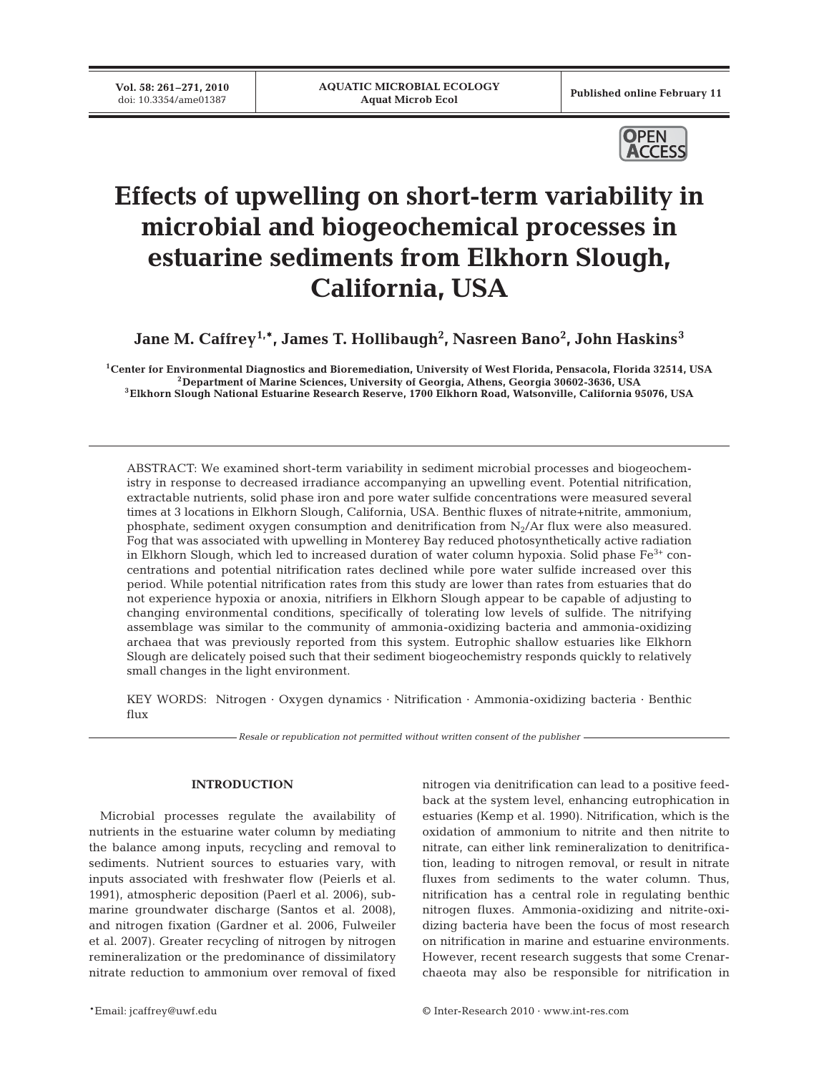**Vol. 58: 261–271, 2010**<br>doi: 10.3354/ame01387

Published online February 11



# **Effects of upwelling on short-term variability in microbial and biogeochemical processes in estuarine sediments from Elkhorn Slough, California, USA**

 $\mathbf{Jane}\ \mathbf{M.}\ \mathbf{Caf}$ frey $^{1,\ast}$ , James T. Hollibaugh $^2$ , Nasreen Bano $^2$ , John Haskins $^3$ 

<sup>1</sup>Center for Environmental Diagnostics and Bioremediation, University of West Florida, Pensacola, Florida 32514, USA<br><sup>2</sup>Department of Marine Sciences, University of Georgia, Athens, Georgia 30602-3636, USA<br><sup>3</sup>Elkhorn Slo

ABSTRACT: We examined short-term variability in sediment microbial processes and biogeochemistry in response to decreased irradiance accompanying an upwelling event. Potential nitrification, extractable nutrients, solid phase iron and pore water sulfide concentrations were measured several times at 3 locations in Elkhorn Slough, California, USA. Benthic fluxes of nitrate+nitrite, ammonium, phosphate, sediment oxygen consumption and denitrification from  $N_2/Ar$  flux were also measured. Fog that was associated with upwelling in Monterey Bay reduced photosynthetically active radiation in Elkhorn Slough, which led to increased duration of water column hypoxia. Solid phase  $Fe<sup>3+</sup>$  concentrations and potential nitrification rates declined while pore water sulfide increased over this period. While potential nitrification rates from this study are lower than rates from estuaries that do not experience hypoxia or anoxia, nitrifiers in Elkhorn Slough appear to be capable of adjusting to changing environmental conditions, specifically of tolerating low levels of sulfide. The nitrifying assemblage was similar to the community of ammonia-oxidizing bacteria and ammonia-oxidizing archaea that was previously reported from this system. Eutrophic shallow estuaries like Elkhorn Slough are delicately poised such that their sediment biogeochemistry responds quickly to relatively small changes in the light environment.

KEY WORDS: Nitrogen · Oxygen dynamics · Nitrification · Ammonia-oxidizing bacteria · Benthic flux

*Resale or republication not permitted without written consent of the publisher*

#### **INTRODUCTION**

Microbial processes regulate the availability of nutrients in the estuarine water column by mediating the balance among inputs, recycling and removal to sediments. Nutrient sources to estuaries vary, with inputs associated with freshwater flow (Peierls et al. 1991), atmospheric deposition (Paerl et al. 2006), submarine groundwater discharge (Santos et al. 2008), and nitrogen fixation (Gardner et al. 2006, Fulweiler et al. 2007). Greater recycling of nitrogen by nitrogen remineralization or the predominance of dissimilatory nitrate reduction to ammonium over removal of fixed

nitrogen via denitrification can lead to a positive feedback at the system level, enhancing eutrophication in estuaries (Kemp et al. 1990). Nitrification, which is the oxidation of ammonium to nitrite and then nitrite to nitrate, can either link remineralization to denitrification, leading to nitrogen removal, or result in nitrate fluxes from sediments to the water column. Thus, nitrification has a central role in regulating benthic nitrogen fluxes. Ammonia-oxidizing and nitrite-oxidizing bacteria have been the focus of most research on nitrification in marine and estuarine environments. However, recent research suggests that some Crenarchaeota may also be responsible for nitrification in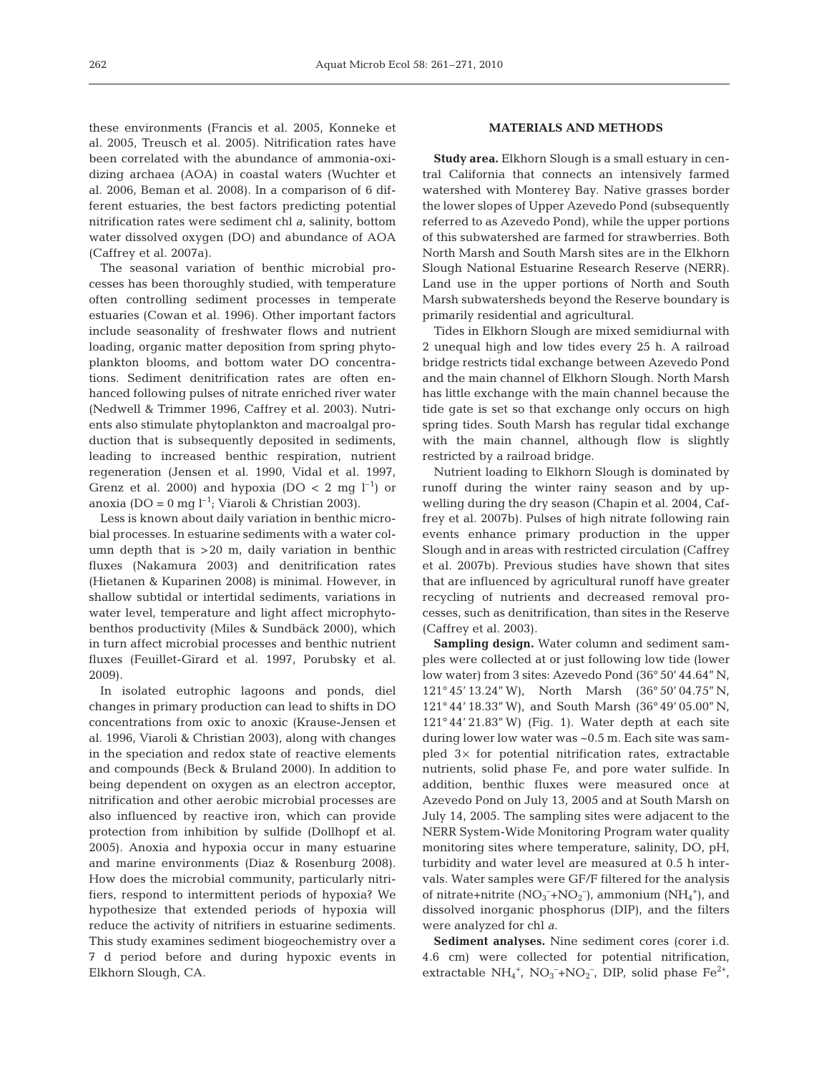these environments (Francis et al. 2005, Konneke et al. 2005, Treusch et al. 2005). Nitrification rates have been correlated with the abundance of ammonia-oxidizing archaea (AOA) in coastal waters (Wuchter et al. 2006, Beman et al. 2008). In a comparison of 6 different estuaries, the best factors predicting potential nitrification rates were sediment chl *a*, salinity, bottom water dissolved oxygen (DO) and abundance of AOA (Caffrey et al. 2007a).

The seasonal variation of benthic microbial processes has been thoroughly studied, with temperature often controlling sediment processes in temperate estuaries (Cowan et al. 1996). Other important factors include seasonality of freshwater flows and nutrient loading, organic matter deposition from spring phytoplankton blooms, and bottom water DO concentrations. Sediment denitrification rates are often enhanced following pulses of nitrate enriched river water (Nedwell & Trimmer 1996, Caffrey et al. 2003). Nutrients also stimulate phytoplankton and macroalgal production that is subsequently deposited in sediments, leading to increased benthic respiration, nutrient regeneration (Jensen et al. 1990, Vidal et al. 1997, Grenz et al. 2000) and hypoxia (DO  $<$  2 mg l<sup>-1</sup>) or anoxia (DO = 0 mg  $l^{-1}$ ; Viaroli & Christian 2003).

Less is known about daily variation in benthic microbial processes. In estuarine sediments with a water column depth that is >20 m, daily variation in benthic fluxes (Nakamura 2003) and denitrification rates (Hietanen & Kuparinen 2008) is minimal. However, in shallow subtidal or intertidal sediments, variations in water level, temperature and light affect microphytobenthos productivity (Miles & Sundbäck 2000), which in turn affect microbial processes and benthic nutrient fluxes (Feuillet-Girard et al. 1997, Porubsky et al. 2009).

In isolated eutrophic lagoons and ponds, diel changes in primary production can lead to shifts in DO concentrations from oxic to anoxic (Krause-Jensen et al. 1996, Viaroli & Christian 2003), along with changes in the speciation and redox state of reactive elements and compounds (Beck & Bruland 2000). In addition to being dependent on oxygen as an electron acceptor, nitrification and other aerobic microbial processes are also influenced by reactive iron, which can provide protection from inhibition by sulfide (Dollhopf et al. 2005). Anoxia and hypoxia occur in many estuarine and marine environments (Diaz & Rosenburg 2008). How does the microbial community, particularly nitrifiers, respond to intermittent periods of hypoxia? We hypothesize that extended periods of hypoxia will reduce the activity of nitrifiers in estuarine sediments. This study examines sediment biogeochemistry over a 7 d period before and during hypoxic events in Elkhorn Slough, CA.

# **MATERIALS AND METHODS**

**Study area.** Elkhorn Slough is a small estuary in central California that connects an intensively farmed watershed with Monterey Bay. Native grasses border the lower slopes of Upper Azevedo Pond (subsequently referred to as Azevedo Pond), while the upper portions of this subwatershed are farmed for strawberries. Both North Marsh and South Marsh sites are in the Elkhorn Slough National Estuarine Research Reserve (NERR). Land use in the upper portions of North and South Marsh subwatersheds beyond the Reserve boundary is primarily residential and agricultural.

Tides in Elkhorn Slough are mixed semidiurnal with 2 unequal high and low tides every 25 h. A railroad bridge restricts tidal exchange between Azevedo Pond and the main channel of Elkhorn Slough. North Marsh has little exchange with the main channel because the tide gate is set so that exchange only occurs on high spring tides. South Marsh has regular tidal exchange with the main channel, although flow is slightly restricted by a railroad bridge.

Nutrient loading to Elkhorn Slough is dominated by runoff during the winter rainy season and by upwelling during the dry season (Chapin et al. 2004, Caffrey et al. 2007b). Pulses of high nitrate following rain events enhance primary production in the upper Slough and in areas with restricted circulation (Caffrey et al. 2007b). Previous studies have shown that sites that are influenced by agricultural runoff have greater recycling of nutrients and decreased removal processes, such as denitrification, than sites in the Reserve (Caffrey et al. 2003).

**Sampling design.** Water column and sediment samples were collected at or just following low tide (lower low water) from 3 sites: Azevedo Pond (36° 50' 44.64'' N, 121° 45' 13.24'' W), North Marsh (36° 50' 04.75'' N, 121° 44' 18.33'' W), and South Marsh (36° 49' 05.00'' N, 121° 44' 21.83'' W) (Fig. 1). Water depth at each site during lower low water was ~0.5 m. Each site was sampled  $3\times$  for potential nitrification rates, extractable nutrients, solid phase Fe, and pore water sulfide. In addition, benthic fluxes were measured once at Azevedo Pond on July 13, 2005 and at South Marsh on July 14, 2005. The sampling sites were adjacent to the NERR System-Wide Monitoring Program water quality monitoring sites where temperature, salinity, DO, pH, turbidity and water level are measured at 0.5 h intervals. Water samples were GF/F filtered for the analysis of nitrate+nitrite  $(NO_3^-+NO_2^-)$ , ammonium  $(NH_4^+)$ , and dissolved inorganic phosphorus (DIP), and the filters were analyzed for chl *a*.

**Sediment analyses.** Nine sediment cores (corer i.d. 4.6 cm) were collected for potential nitrification, extractable  $NH_4^+$ ,  $NO_3^-+NO_2^-$ , DIP, solid phase  $Fe^{2+}$ ,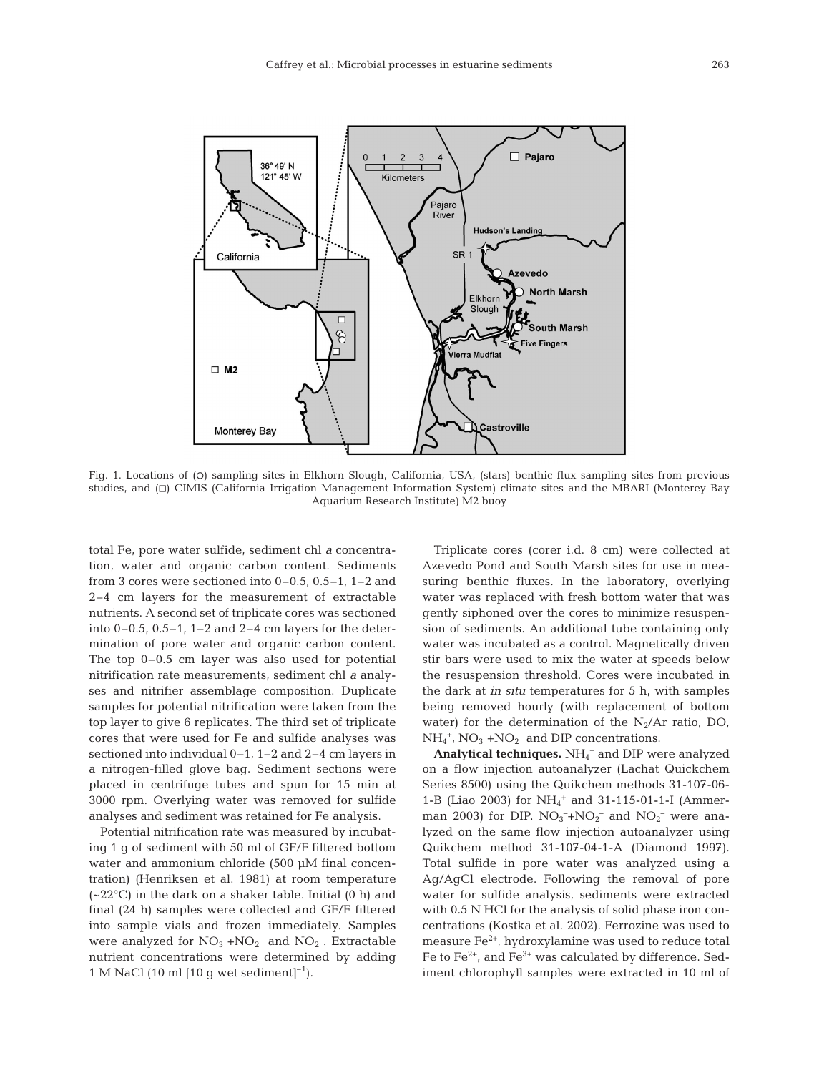

Fig. 1. Locations of (O) sampling sites in Elkhorn Slough, California, USA, (stars) benthic flux sampling sites from previous studies, and (h) CIMIS (California Irrigation Management Information System) climate sites and the MBARI (Monterey Bay Aquarium Research Institute) M2 buoy

total Fe, pore water sulfide, sediment chl *a* concentration, water and organic carbon content. Sediments from 3 cores were sectioned into 0–0.5, 0.5–1, 1–2 and 2–4 cm layers for the measurement of extractable nutrients. A second set of triplicate cores was sectioned into 0–0.5, 0.5–1, 1–2 and 2–4 cm layers for the determination of pore water and organic carbon content. The top 0–0.5 cm layer was also used for potential nitrification rate measurements, sediment chl *a* analyses and nitrifier assemblage composition. Duplicate samples for potential nitrification were taken from the top layer to give 6 replicates. The third set of triplicate cores that were used for Fe and sulfide analyses was sectioned into individual 0–1, 1–2 and 2–4 cm layers in a nitrogen-filled glove bag. Sediment sections were placed in centrifuge tubes and spun for 15 min at 3000 rpm. Overlying water was removed for sulfide analyses and sediment was retained for Fe analysis.

Potential nitrification rate was measured by incubating 1 g of sediment with 50 ml of GF/F filtered bottom water and ammonium chloride (500 µM final concentration) (Henriksen et al. 1981) at room temperature  $(-22^{\circ}C)$  in the dark on a shaker table. Initial  $(0 h)$  and final (24 h) samples were collected and GF/F filtered into sample vials and frozen immediately. Samples were analyzed for  $NO_3^- + NO_2^-$  and  $NO_2^-$ . Extractable nutrient concentrations were determined by adding 1 M NaCl (10 ml  $[10 \text{ g wet sediment}]^{-1}$ ).

Triplicate cores (corer i.d. 8 cm) were collected at Azevedo Pond and South Marsh sites for use in measuring benthic fluxes. In the laboratory, overlying water was replaced with fresh bottom water that was gently siphoned over the cores to minimize resuspension of sediments. An additional tube containing only water was incubated as a control. Magnetically driven stir bars were used to mix the water at speeds below the resuspension threshold. Cores were incubated in the dark at *in situ* temperatures for 5 h, with samples being removed hourly (with replacement of bottom water) for the determination of the  $N_2/Ar$  ratio, DO,  $NH_4^+$ ,  $NO_3^- + NO_2^-$  and DIP concentrations.

**Analytical techniques.** NH4 <sup>+</sup> and DIP were analyzed on a flow injection autoanalyzer (Lachat Quickchem Series 8500) using the Quikchem methods 31-107-06- 1-B (Liao 2003) for  $NH_4^+$  and 31-115-01-1-I (Ammerman 2003) for DIP.  $NO_3^- + NO_2^-$  and  $NO_2^-$  were analyzed on the same flow injection autoanalyzer using Quikchem method 31-107-04-1-A (Diamond 1997). Total sulfide in pore water was analyzed using a Ag/AgCl electrode. Following the removal of pore water for sulfide analysis, sediments were extracted with 0.5 N HCl for the analysis of solid phase iron concentrations (Kostka et al. 2002). Ferrozine was used to measure  $Fe<sup>2+</sup>$ , hydroxylamine was used to reduce total Fe to  $Fe^{2+}$ , and  $Fe^{3+}$  was calculated by difference. Sediment chlorophyll samples were extracted in 10 ml of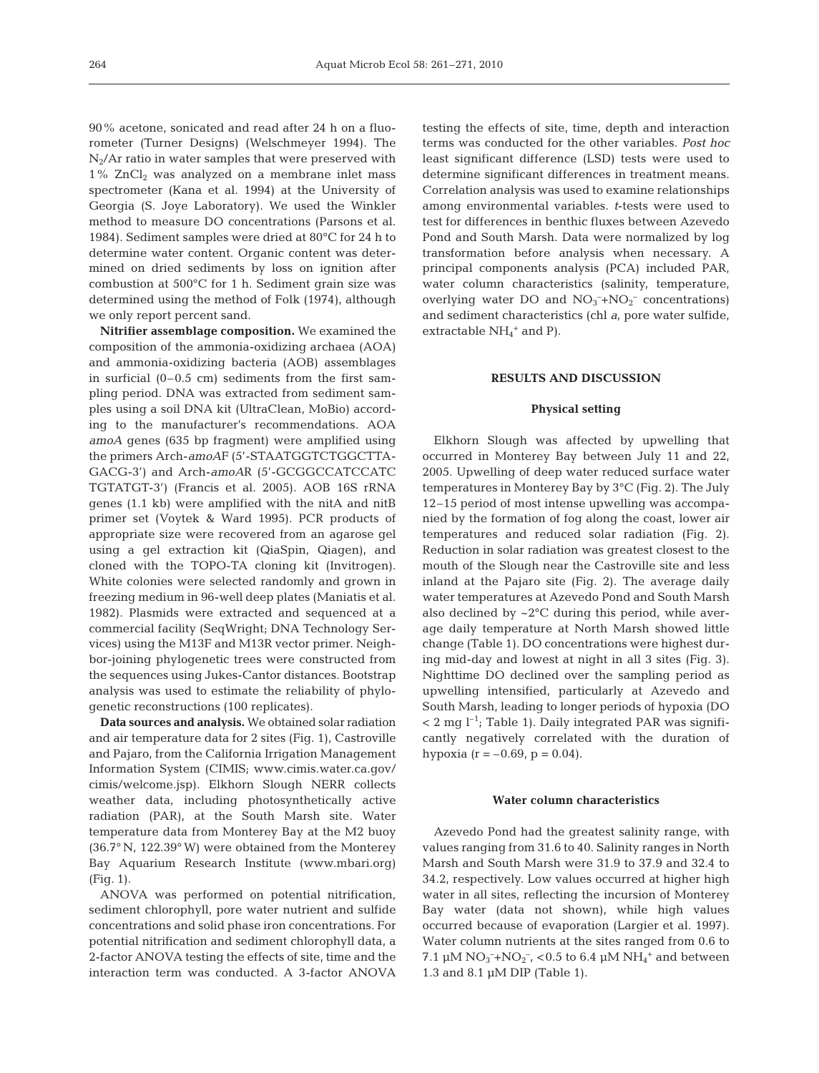90% acetone, sonicated and read after 24 h on a fluorometer (Turner Designs) (Welschmeyer 1994). The  $N_2/Ar$  ratio in water samples that were preserved with  $1\%$  ZnCl<sub>2</sub> was analyzed on a membrane inlet mass spectrometer (Kana et al. 1994) at the University of Georgia (S. Joye Laboratory). We used the Winkler method to measure DO concentrations (Parsons et al. 1984). Sediment samples were dried at 80°C for 24 h to determine water content. Organic content was determined on dried sediments by loss on ignition after combustion at 500°C for 1 h. Sediment grain size was determined using the method of Folk (1974), although we only report percent sand.

**Nitrifier assemblage composition.** We examined the composition of the ammonia-oxidizing archaea (AOA) and ammonia-oxidizing bacteria (AOB) assemblages in surficial (0–0.5 cm) sediments from the first sampling period. DNA was extracted from sediment samples using a soil DNA kit (UltraClean, MoBio) according to the manufacturer's recommendations. AOA *amoA* genes (635 bp fragment) were amplified using the primers Arch-*amoA*F (5'-STAATGGTCTGGCTTA-GACG-3') and Arch-*amoA*R (5'-GCGGCCATCCATC TGTATGT-3') (Francis et al. 2005). AOB 16S rRNA genes (1.1 kb) were amplified with the nitA and nitB primer set (Voytek & Ward 1995). PCR products of appropriate size were recovered from an agarose gel using a gel extraction kit (QiaSpin, Qiagen), and cloned with the TOPO-TA cloning kit (Invitrogen). White colonies were selected randomly and grown in freezing medium in 96-well deep plates (Maniatis et al. 1982). Plasmids were extracted and sequenced at a commercial facility (SeqWright; DNA Technology Services) using the M13F and M13R vector primer. Neighbor-joining phylogenetic trees were constructed from the sequences using Jukes-Cantor distances. Bootstrap analysis was used to estimate the reliability of phylogenetic reconstructions (100 replicates).

**Data sources and analysis.** We obtained solar radiation and air temperature data for 2 sites (Fig. 1), Castroville and Pajaro, from the California Irrigation Management Information System (CIMIS; www.cimis.water.ca.gov/ cimis/welcome.jsp). Elkhorn Slough NERR collects weather data, including photosynthetically active radiation (PAR), at the South Marsh site. Water temperature data from Monterey Bay at the M2 buoy (36.7° N, 122.39° W) were obtained from the Monterey Bay Aquarium Research Institute (www.mbari.org) (Fig. 1).

ANOVA was performed on potential nitrification, sediment chlorophyll, pore water nutrient and sulfide concentrations and solid phase iron concentrations. For potential nitrification and sediment chlorophyll data, a 2-factor ANOVA testing the effects of site, time and the interaction term was conducted. A 3-factor ANOVA testing the effects of site, time, depth and interaction terms was conducted for the other variables. *Post hoc* least significant difference (LSD) tests were used to determine significant differences in treatment means. Correlation analysis was used to examine relationships among environmental variables. *t*-tests were used to test for differences in benthic fluxes between Azevedo Pond and South Marsh. Data were normalized by log transformation before analysis when necessary. A principal components analysis (PCA) included PAR, water column characteristics (salinity, temperature, overlying water DO and  $NO_3^-+NO_2^-$  concentrations) and sediment characteristics (chl *a*, pore water sulfide, extractable  $NH_4^+$  and P).

#### **RESULTS AND DISCUSSION**

#### **Physical setting**

Elkhorn Slough was affected by upwelling that occurred in Monterey Bay between July 11 and 22, 2005. Upwelling of deep water reduced surface water temperatures in Monterey Bay by 3°C (Fig. 2). The July 12–15 period of most intense upwelling was accompanied by the formation of fog along the coast, lower air temperatures and reduced solar radiation (Fig. 2). Reduction in solar radiation was greatest closest to the mouth of the Slough near the Castroville site and less inland at the Pajaro site (Fig. 2). The average daily water temperatures at Azevedo Pond and South Marsh also declined by  $\sim$ 2 $\degree$ C during this period, while average daily temperature at North Marsh showed little change (Table 1). DO concentrations were highest during mid-day and lowest at night in all 3 sites (Fig. 3). Nighttime DO declined over the sampling period as upwelling intensified, particularly at Azevedo and South Marsh, leading to longer periods of hypoxia (DO  $< 2$  mg l<sup>-1</sup>; Table 1). Daily integrated PAR was significantly negatively correlated with the duration of hypoxia ( $r = -0.69$ ,  $p = 0.04$ ).

## **Water column characteristics**

Azevedo Pond had the greatest salinity range, with values ranging from 31.6 to 40. Salinity ranges in North Marsh and South Marsh were 31.9 to 37.9 and 32.4 to 34.2, respectively. Low values occurred at higher high water in all sites, reflecting the incursion of Monterey Bay water (data not shown), while high values occurred because of evaporation (Largier et al. 1997). Water column nutrients at the sites ranged from 0.6 to 7.1 µM  $NO_3^- + NO_2^-$ , <0.5 to 6.4 µM  $NH_4^+$  and between 1.3 and 8.1 µM DIP (Table 1).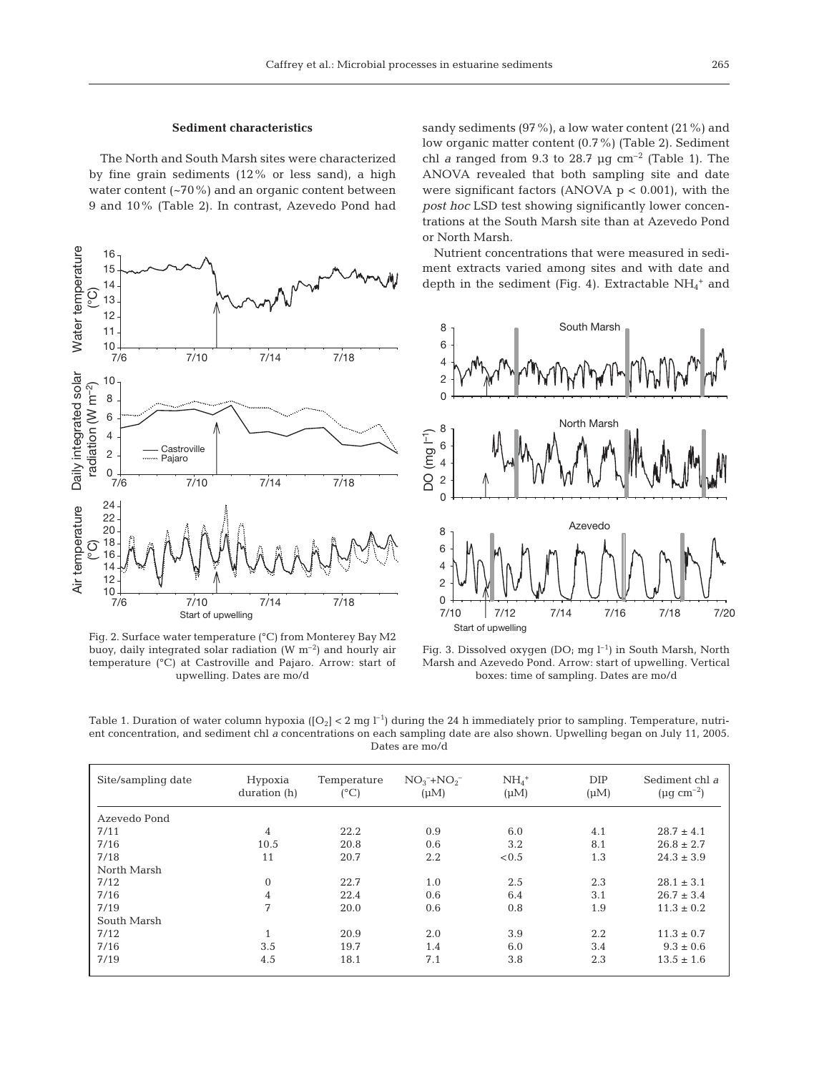The North and South Marsh sites were characterized by fine grain sediments (12% or less sand), a high water content (~70%) and an organic content between 9 and 10% (Table 2). In contrast, Azevedo Pond had



Fig. 2. Surface water temperature (°C) from Monterey Bay M2 buoy, daily integrated solar radiation  $(W m^{-2})$  and hourly air temperature (°C) at Castroville and Pajaro. Arrow: start of upwelling. Dates are mo/d

sandy sediments (97%), a low water content (21%) and low organic matter content (0.7%) (Table 2). Sediment chl *a* ranged from 9.3 to 28.7  $\mu$ g cm<sup>-2</sup> (Table 1). The ANOVA revealed that both sampling site and date were significant factors (ANOVA  $p < 0.001$ ), with the *post hoc* LSD test showing significantly lower concentrations at the South Marsh site than at Azevedo Pond or North Marsh.

Nutrient concentrations that were measured in sediment extracts varied among sites and with date and depth in the sediment (Fig. 4). Extractable  $NH_4^+$  and



Fig. 3. Dissolved oxygen (DO; mg  $l^{-1}$ ) in South Marsh, North Marsh and Azevedo Pond. Arrow: start of upwelling. Vertical boxes: time of sampling. Dates are mo/d

Table 1. Duration of water column hypoxia  $([O_2] < 2$  mg  $I^{-1}$ ) during the 24 h immediately prior to sampling. Temperature, nutrient concentration, and sediment chl *a* concentrations on each sampling date are also shown. Upwelling began on July 11, 2005. Dates are mo/d

| Site/sampling date | Hypoxia<br>duration (h)    | Temperature<br>$(^{\circ}C)$ | $NO_3^- + NO_2^-$<br>$(\mu M)$ | $NH4+$<br>$(\mu M)$ | DIP<br>$(\mu M)$ | Sediment chl a<br>$(\mu g \text{ cm}^{-2})$ |
|--------------------|----------------------------|------------------------------|--------------------------------|---------------------|------------------|---------------------------------------------|
| Azevedo Pond       |                            |                              |                                |                     |                  |                                             |
| 7/11               | $\overline{4}$             | 22.2                         | 0.9                            | 6.0                 | 4.1              | $28.7 \pm 4.1$                              |
| 7/16               | 10.5                       | 20.8                         | 0.6                            | 3.2                 | 8.1              | $26.8 \pm 2.7$                              |
| 7/18               | 11                         | 20.7                         | $2.2\,$                        | < 0.5               | 1.3              | $24.3 \pm 3.9$                              |
| North Marsh        |                            |                              |                                |                     |                  |                                             |
| 7/12               | $\overline{0}$             | 22.7                         | 1.0                            | 2.5                 | 2.3              | $28.1 \pm 3.1$                              |
| 7/16               | 4                          | 22.4                         | 0.6                            | 6.4                 | 3.1              | $26.7 \pm 3.4$                              |
| 7/19               | 7                          | 20.0                         | 0.6                            | 0.8                 | 1.9              | $11.3 \pm 0.2$                              |
| South Marsh        |                            |                              |                                |                     |                  |                                             |
| 7/12               | $\overline{ }$<br><b>T</b> | 20.9                         | 2.0                            | 3.9                 | 2.2              | $11.3 \pm 0.7$                              |
| 7/16               | 3.5                        | 19.7                         | 1.4                            | 6.0                 | 3.4              | $9.3 \pm 0.6$                               |
| 7/19               | 4.5                        | 18.1                         | 7.1                            | 3.8                 | 2.3              | $13.5 \pm 1.6$                              |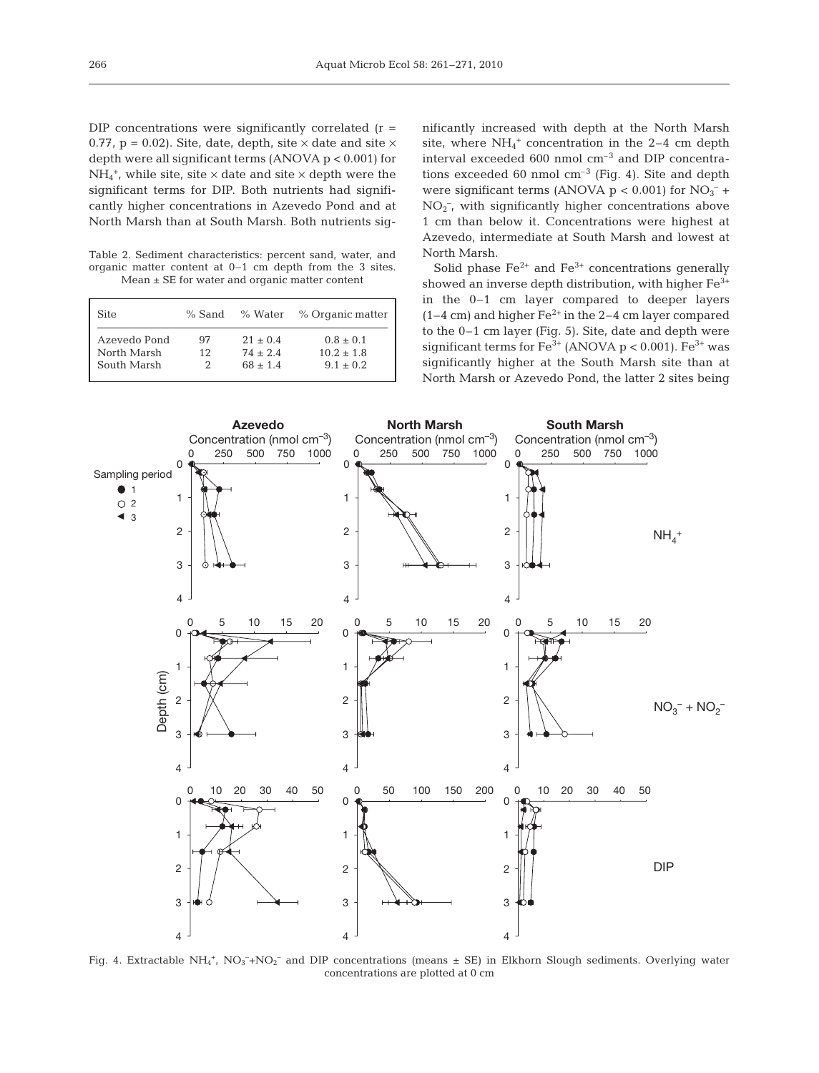$DIP$  concentrations were significantly correlated (r = 0.77,  $p = 0.02$ ). Site, date, depth, site  $\times$  date and site  $\times$ depth were all significant terms (ANOVA p < 0.001) for  $NH_4^+$ , while site, site  $\times$  date and site  $\times$  depth were the significant terms for DIP. Both nutrients had significantly higher concentrations in Azevedo Pond and at North Marsh than at South Marsh. Both nutrients sig-

Table 2. Sediment characteristics: percent sand, water, and organic matter content at 0–1 cm depth from the 3 sites. Mean ± SE for water and organic matter content

| Site         | $%$ Sand |            | % Water % Organic matter |
|--------------|----------|------------|--------------------------|
| Azevedo Pond | 97       | $21 + 0.4$ | $0.8 + 0.1$              |
| North Marsh  | 12       | $74 + 2.4$ | $10.2 + 1.8$             |
| South Marsh  |          | $68 + 1.4$ | $9.1 + 0.2$              |

nificantly increased with depth at the North Marsh site, where  $NH_4^+$  concentration in the 2–4 cm depth interval exceeded 600 nmol cm–3 and DIP concentrations exceeded 60 nmol  $cm^{-3}$  (Fig. 4). Site and depth were significant terms (ANOVA  $p < 0.001$ ) for  $NO<sub>3</sub><sup>-</sup>$ + NO2 – , with significantly higher concentrations above 1 cm than below it. Concentrations were highest at Azevedo, intermediate at South Marsh and lowest at North Marsh.

Solid phase  $Fe^{2+}$  and  $Fe^{3+}$  concentrations generally showed an inverse depth distribution, with higher  $Fe<sup>3+</sup>$ in the 0–1 cm layer compared to deeper layers  $(1-4 \text{ cm})$  and higher Fe<sup>2+</sup> in the 2–4 cm layer compared to the 0–1 cm layer (Fig. 5). Site, date and depth were significant terms for  $Fe^{3+}$  (ANOVA p < 0.001).  $Fe^{3+}$  was significantly higher at the South Marsh site than at North Marsh or Azevedo Pond, the latter 2 sites being



Fig. 4. Extractable  $NH_4$ +,  $NO_3^-$ + $NO_2^-$  and DIP concentrations (means  $\pm$  SE) in Elkhorn Slough sediments. Overlying water concentrations are plotted at 0 cm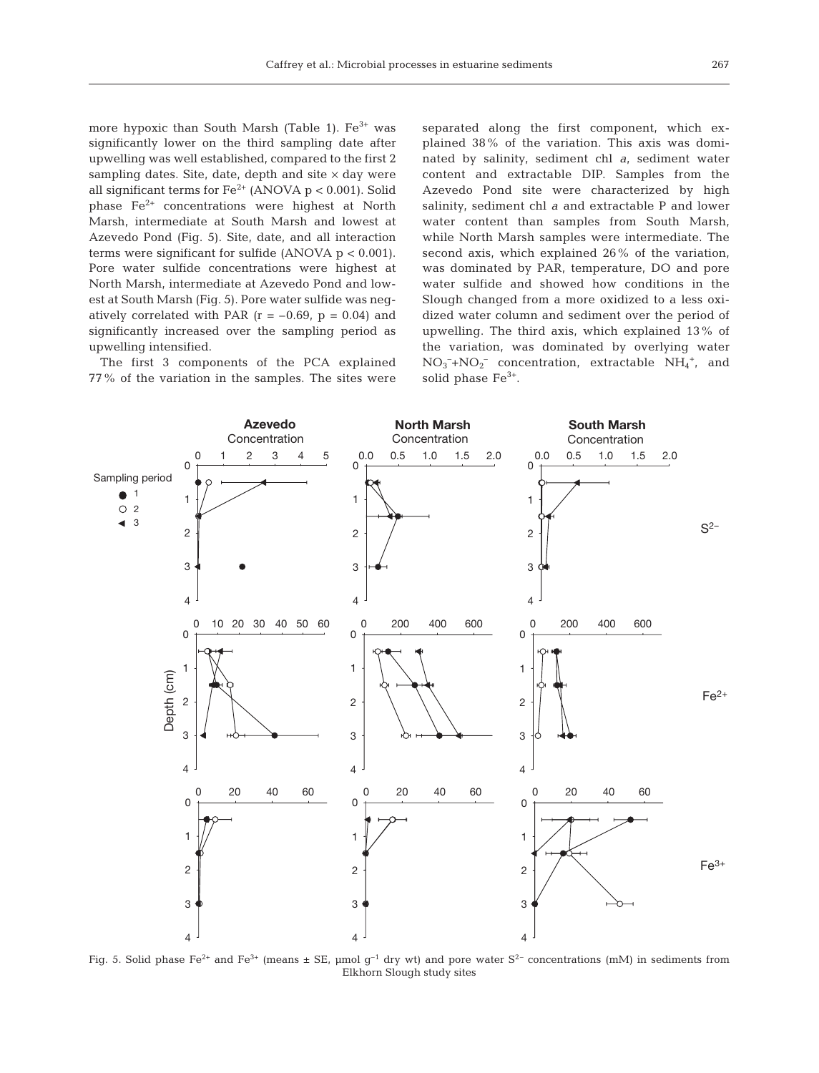more hypoxic than South Marsh (Table 1). Fe<sup>3+</sup> was significantly lower on the third sampling date after upwelling was well established, compared to the first 2 sampling dates. Site, date, depth and site  $\times$  day were all significant terms for  $Fe^{2+}$  (ANOVA p < 0.001). Solid phase Fe2+ concentrations were highest at North Marsh, intermediate at South Marsh and lowest at Azevedo Pond (Fig. 5). Site, date, and all interaction terms were significant for sulfide (ANOVA  $p < 0.001$ ). Pore water sulfide concentrations were highest at North Marsh, intermediate at Azevedo Pond and lowest at South Marsh (Fig. 5). Pore water sulfide was negatively correlated with PAR  $(r = -0.69, p = 0.04)$  and significantly increased over the sampling period as upwelling intensified.

The first 3 components of the PCA explained 77% of the variation in the samples. The sites were separated along the first component, which explained 38% of the variation. This axis was dominated by salinity, sediment chl *a*, sediment water content and extractable DIP. Samples from the Azevedo Pond site were characterized by high salinity, sediment chl *a* and extractable P and lower water content than samples from South Marsh, while North Marsh samples were intermediate. The second axis, which explained 26% of the variation, was dominated by PAR, temperature, DO and pore water sulfide and showed how conditions in the Slough changed from a more oxidized to a less oxidized water column and sediment over the period of upwelling. The third axis, which explained 13% of the variation, was dominated by overlying water  $NO<sub>3</sub><sup>-</sup>+NO<sub>2</sub><sup>-</sup>$  concentration, extractable  $NH<sub>4</sub><sup>+</sup>,$  and solid phase  $Fe<sup>3+</sup>$ .



Fig. 5. Solid phase Fe<sup>2+</sup> and Fe<sup>3+</sup> (means  $\pm$  SE, µmol g<sup>-1</sup> dry wt) and pore water S<sup>2-</sup> concentrations (mM) in sediments from Elkhorn Slough study sites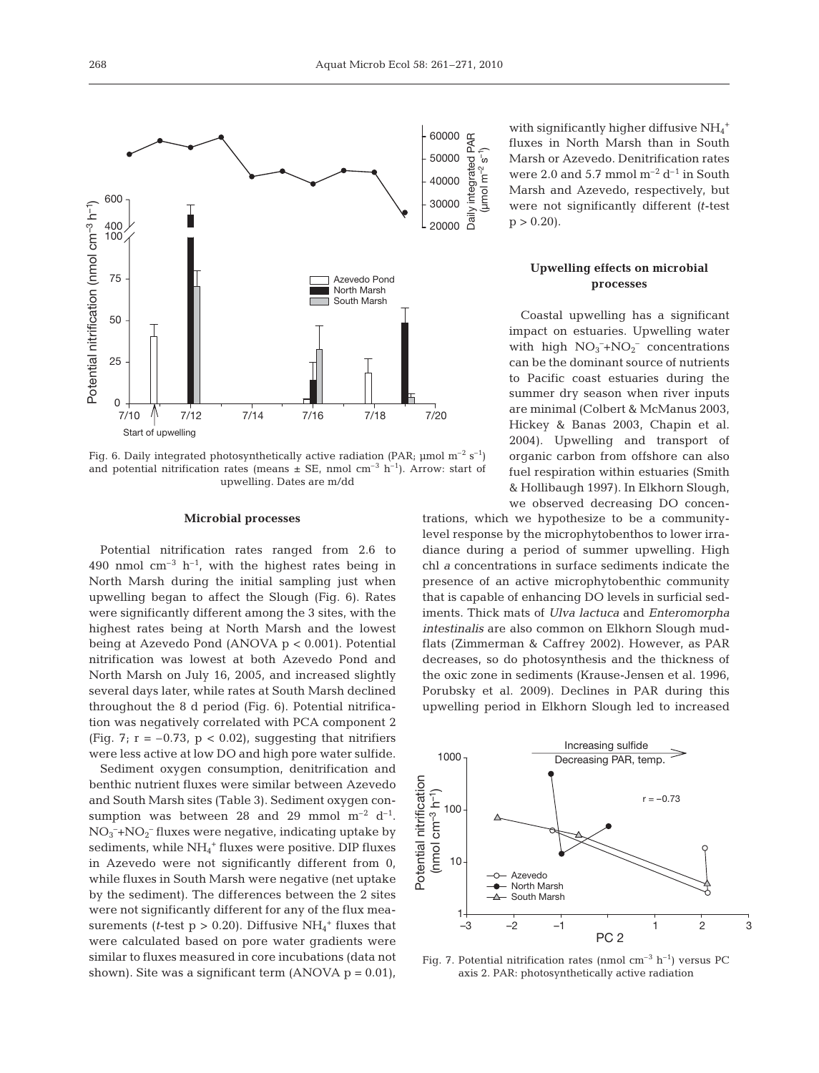

Fig. 6. Daily integrated photosynthetically active radiation (PAR;  $\mu$ mol m<sup>-2</sup> s<sup>-1</sup>) and potential nitrification rates (means  $\pm$  SE, nmol cm<sup>-3</sup> h<sup>-1</sup>). Arrow: start of upwelling. Dates are m/dd

## **Microbial processes**

Potential nitrification rates ranged from 2.6 to 490 nmol  $cm^{-3}$  h<sup>-1</sup>, with the highest rates being in North Marsh during the initial sampling just when upwelling began to affect the Slough (Fig. 6). Rates were significantly different among the 3 sites, with the highest rates being at North Marsh and the lowest being at Azevedo Pond (ANOVA p < 0.001). Potential nitrification was lowest at both Azevedo Pond and North Marsh on July 16, 2005, and increased slightly several days later, while rates at South Marsh declined throughout the 8 d period (Fig. 6). Potential nitrification was negatively correlated with PCA component 2 (Fig. 7;  $r = -0.73$ ,  $p < 0.02$ ), suggesting that nitrifiers were less active at low DO and high pore water sulfide.

Sediment oxygen consumption, denitrification and benthic nutrient fluxes were similar between Azevedo and South Marsh sites (Table 3). Sediment oxygen consumption was between 28 and 29 mmol  $m^{-2} d^{-1}$ .  $NO<sub>3</sub><sup>-</sup>+NO<sub>2</sub><sup>-</sup> fluxes were negative, indicating uptake by$ sediments, while NH<sub>4</sub><sup>+</sup> fluxes were positive. DIP fluxes in Azevedo were not significantly different from 0, while fluxes in South Marsh were negative (net uptake by the sediment). The differences between the 2 sites were not significantly different for any of the flux measurements (*t*-test  $p > 0.20$ ). Diffusive  $NH_4^+$  fluxes that were calculated based on pore water gradients were similar to fluxes measured in core incubations (data not shown). Site was a significant term  $(ANOVA p = 0.01)$ , PAR Daily integrated PAR  $(\mu$ mol m<sup>-2</sup> s<sup>-1</sup>) integrated  $m^{-2}$ Jumol Daily i

with significantly higher diffusive  $\mathrm{NH}_4{}^+$ fluxes in North Marsh than in South Marsh or Azevedo. Denitrification rates were 2.0 and 5.7 mmol  $m^{-2} d^{-1}$  in South Marsh and Azevedo, respectively, but were not significantly different *(t*-test  $p > 0.20$ .

# **Upwelling effects on microbial processes**

Coastal upwelling has a significant impact on estuaries. Upwelling water with high  $NO_3^- + NO_2^-$  concentrations can be the dominant source of nutrients to Pacific coast estuaries during the summer dry season when river inputs are minimal (Colbert & McManus 2003, Hickey & Banas 2003, Chapin et al. 2004). Upwelling and transport of organic carbon from offshore can also fuel respiration within estuaries (Smith & Hollibaugh 1997). In Elkhorn Slough, we observed decreasing DO concen-

trations, which we hypothesize to be a communitylevel response by the microphytobenthos to lower irradiance during a period of summer upwelling. High chl *a* concentrations in surface sediments indicate the presence of an active microphytobenthic community that is capable of enhancing DO levels in surficial sediments. Thick mats of *Ulva lactuca* and *Enteromorpha intestinalis* are also common on Elkhorn Slough mudflats (Zimmerman & Caffrey 2002). However, as PAR decreases, so do photosynthesis and the thickness of the oxic zone in sediments (Krause-Jensen et al. 1996, Porubsky et al. 2009). Declines in PAR during this upwelling period in Elkhorn Slough led to increased



Fig. 7. Potential nitrification rates (nmol  $cm^{-3}$  h<sup>-1</sup>) versus PC axis 2. PAR: photosynthetically active radiation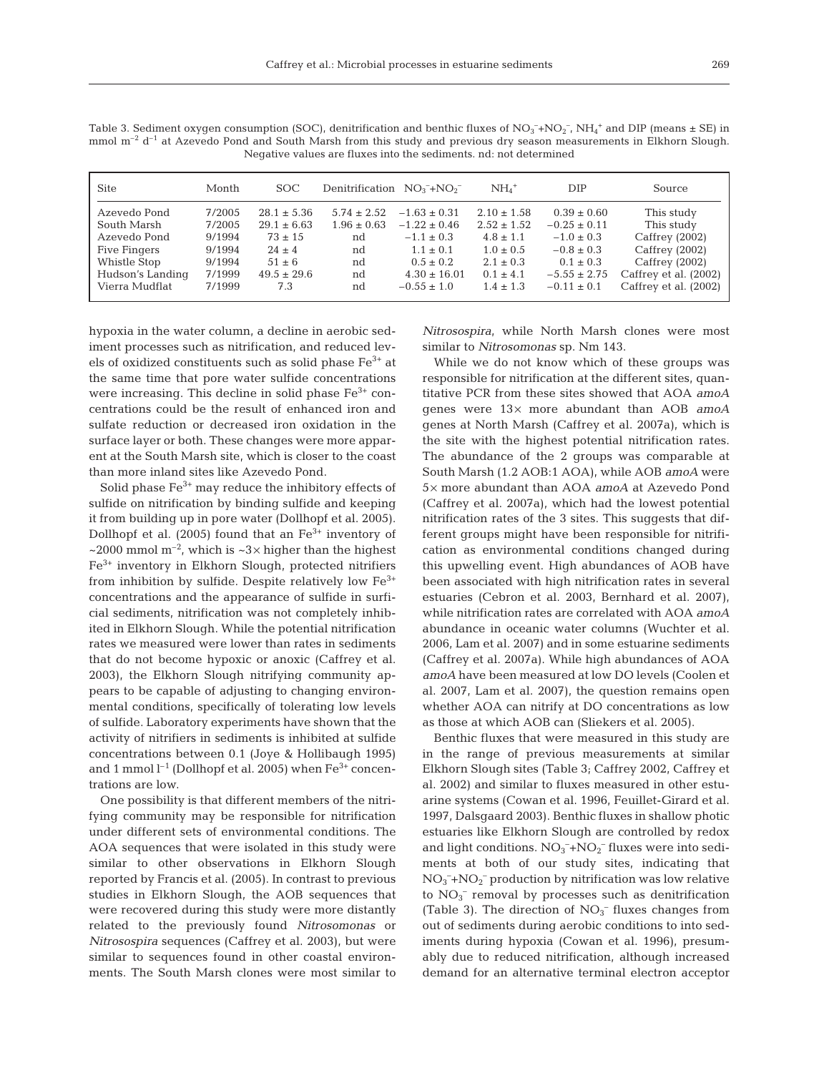| Month            | SOC.                   |                               |                                     | $NH4+$                                                                 | <b>DIP</b>                          | Source                                         |
|------------------|------------------------|-------------------------------|-------------------------------------|------------------------------------------------------------------------|-------------------------------------|------------------------------------------------|
| 7/2005           | $28.1 \pm 5.36$        | $5.74 \pm 2.52$               | $-1.63 \pm 0.31$                    | $2.10 \pm 1.58$                                                        | $0.39 \pm 0.60$                     | This study<br>This study                       |
| 9/1994           | $73 \pm 15$            | nd                            | $-1.1 \pm 0.3$                      | $4.8 \pm 1.1$                                                          | $-1.0 \pm 0.3$                      | Caffrey (2002)                                 |
| 9/1994           | $51 \pm 6$             | nd                            | $0.5 \pm 0.2$                       | $2.1 \pm 0.3$                                                          | $0.1 \pm 0.3$                       | Caffrey (2002)<br>Caffrey (2002)               |
| 7/1999<br>7/1999 | $49.5 \pm 29.6$<br>7.3 | nd<br>nd                      | $4.30 \pm 16.01$<br>$-0.55 \pm 1.0$ | $0.1 \pm 4.1$<br>$1.4 \pm 1.3$                                         | $-5.55 \pm 2.75$<br>$-0.11 \pm 0.1$ | Caffrey et al. (2002)<br>Caffrey et al. (2002) |
|                  | 7/2005<br>9/1994       | $29.1 \pm 6.63$<br>$24 \pm 4$ | $1.96 \pm 0.63$<br>nd               | Denitrification $NO_3^- + NO_2^-$<br>$-1.22 \pm 0.46$<br>$1.1 \pm 0.1$ | $2.52 \pm 1.52$<br>$1.0 \pm 0.5$    | $-0.25 \pm 0.11$<br>$-0.8 \pm 0.3$             |

Table 3. Sediment oxygen consumption (SOC), denitrification and benthic fluxes of  $NO_3^-+NO_2^-$ ,  $NH_4^+$  and DIP (means  $\pm$  SE) in mmol  $m^{-2}$  d<sup>-1</sup> at Azevedo Pond and South Marsh from this study and previous dry season measurements in Elkhorn Slough. Negative values are fluxes into the sediments. nd: not determined

hypoxia in the water column, a decline in aerobic sediment processes such as nitrification, and reduced levels of oxidized constituents such as solid phase Fe3+ at the same time that pore water sulfide concentrations were increasing. This decline in solid phase  $Fe<sup>3+</sup>$  concentrations could be the result of enhanced iron and sulfate reduction or decreased iron oxidation in the surface layer or both. These changes were more apparent at the South Marsh site, which is closer to the coast than more inland sites like Azevedo Pond.

Solid phase  $Fe<sup>3+</sup>$  may reduce the inhibitory effects of sulfide on nitrification by binding sulfide and keeping it from building up in pore water (Dollhopf et al. 2005). Dollhopf et al. (2005) found that an  $Fe<sup>3+</sup>$  inventory of ~2000 mmol  $m^{-2}$ , which is ~3× higher than the highest Fe3+ inventory in Elkhorn Slough, protected nitrifiers from inhibition by sulfide. Despite relatively low  $Fe<sup>3+</sup>$ concentrations and the appearance of sulfide in surficial sediments, nitrification was not completely inhibited in Elkhorn Slough. While the potential nitrification rates we measured were lower than rates in sediments that do not become hypoxic or anoxic (Caffrey et al. 2003), the Elkhorn Slough nitrifying community appears to be capable of adjusting to changing environmental conditions, specifically of tolerating low levels of sulfide. Laboratory experiments have shown that the activity of nitrifiers in sediments is inhibited at sulfide concentrations between 0.1 (Joye & Hollibaugh 1995) and 1 mmol  $l^{-1}$  (Dollhopf et al. 2005) when  $Fe^{3+}$  concentrations are low.

One possibility is that different members of the nitrifying community may be responsible for nitrification under different sets of environmental conditions. The AOA sequences that were isolated in this study were similar to other observations in Elkhorn Slough reported by Francis et al. (2005). In contrast to previous studies in Elkhorn Slough, the AOB sequences that were recovered during this study were more distantly related to the previously found *Nitrosomonas* or *Nitrosospira* sequences (Caffrey et al. 2003), but were similar to sequences found in other coastal environments. The South Marsh clones were most similar to *Nitrosospira*, while North Marsh clones were most similar to *Nitrosomonas* sp. Nm 143.

While we do not know which of these groups was responsible for nitrification at the different sites, quantitative PCR from these sites showed that AOA *amoA* genes were 13× more abundant than AOB *amoA* genes at North Marsh (Caffrey et al. 2007a), which is the site with the highest potential nitrification rates. The abundance of the 2 groups was comparable at South Marsh (1.2 AOB:1 AOA), while AOB *amoA* were 5× more abundant than AOA *amoA* at Azevedo Pond (Caffrey et al. 2007a), which had the lowest potential nitrification rates of the 3 sites. This suggests that different groups might have been responsible for nitrification as environmental conditions changed during this upwelling event. High abundances of AOB have been associated with high nitrification rates in several estuaries (Cebron et al. 2003, Bernhard et al. 2007), while nitrification rates are correlated with AOA *amoA* abundance in oceanic water columns (Wuchter et al. 2006, Lam et al. 2007) and in some estuarine sediments (Caffrey et al. 2007a). While high abundances of AOA *amoA* have been measured at low DO levels (Coolen et al. 2007, Lam et al. 2007), the question remains open whether AOA can nitrify at DO concentrations as low as those at which AOB can (Sliekers et al. 2005).

Benthic fluxes that were measured in this study are in the range of previous measurements at similar Elkhorn Slough sites (Table 3; Caffrey 2002, Caffrey et al. 2002) and similar to fluxes measured in other estuarine systems (Cowan et al. 1996, Feuillet-Girard et al. 1997, Dalsgaard 2003). Benthic fluxes in shallow photic estuaries like Elkhorn Slough are controlled by redox and light conditions.  $NO_3^- + NO_2^-$  fluxes were into sediments at both of our study sites, indicating that  $NO_3^- + NO_2^-$  production by nitrification was low relative to  $NO<sub>3</sub><sup>-</sup>$  removal by processes such as denitrification (Table 3). The direction of  $NO<sub>3</sub><sup>-</sup>$  fluxes changes from out of sediments during aerobic conditions to into sediments during hypoxia (Cowan et al. 1996), presumably due to reduced nitrification, although increased demand for an alternative terminal electron acceptor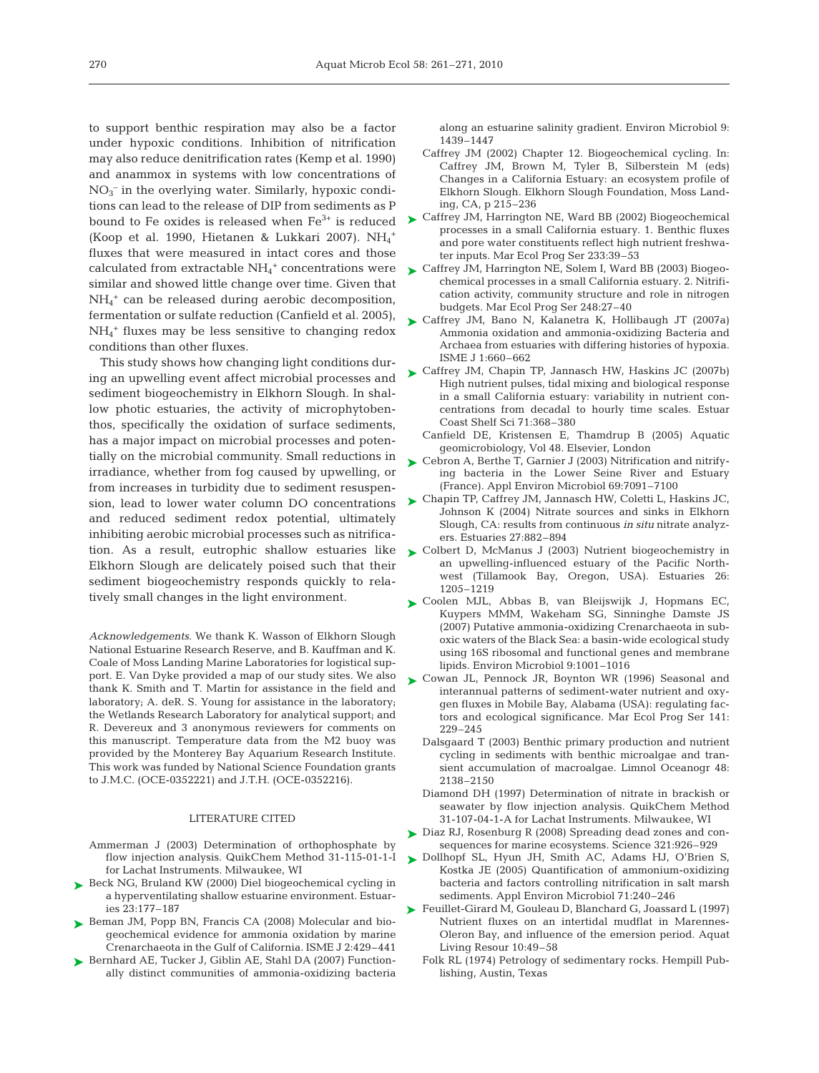to support benthic respiration may also be a factor under hypoxic conditions. Inhibition of nitrification may also reduce denitrification rates (Kemp et al. 1990) and anammox in systems with low concentrations of NO3 – in the overlying water. Similarly, hypoxic conditions can lead to the release of DIP from sediments as P bound to Fe oxides is released when  $Fe<sup>3+</sup>$  is reduced (Koop et al. 1990, Hietanen & Lukkari 2007).  $NH_4^+$ fluxes that were measured in intact cores and those calculated from extractable NH<sub>4</sub><sup>+</sup> concentrations were  $\triangleright$  Caffrey JM, Harrington NE, Solem I, Ward BB (2003) Biogeosimilar and showed little change over time. Given that NH4 <sup>+</sup> can be released during aerobic decomposition, fermentation or sulfate reduction (Canfield et al. 2005), NH4 <sup>+</sup> fluxes may be less sensitive to changing redox conditions than other fluxes.

This study shows how changing light conditions during an upwelling event affect microbial processes and sediment biogeochemistry in Elkhorn Slough. In shallow photic estuaries, the activity of microphytobenthos, specifically the oxidation of surface sediments, has a major impact on microbial processes and potentially on the microbial community. Small reductions in irradiance, whether from fog caused by upwelling, or from increases in turbidity due to sediment resuspension, lead to lower water column DO concentrations and reduced sediment redox potential, ultimately inhibiting aerobic microbial processes such as nitrification. As a result, eutrophic shallow estuaries like Elkhorn Slough are delicately poised such that their sediment biogeochemistry responds quickly to relatively small changes in the light environment.

*Acknowledgements*. We thank K. Wasson of Elkhorn Slough National Estuarine Research Reserve, and B. Kauffman and K. Coale of Moss Landing Marine Laboratories for logistical support. E. Van Dyke provided a map of our study sites. We also thank K. Smith and T. Martin for assistance in the field and laboratory; A. deR. S. Young for assistance in the laboratory; the Wetlands Research Laboratory for analytical support; and R. Devereux and 3 anonymous reviewers for comments on this manuscript. Temperature data from the M2 buoy was provided by the Monterey Bay Aquarium Research Institute. This work was funded by National Science Foundation grants to J.M.C. (OCE-0352221) and J.T.H. (OCE-0352216).

#### LITERATURE CITED

- Ammerman J (2003) Determination of orthophosphate by flow injection analysis. QuikChem Method 31-115-01-1-I for Lachat Instruments. Milwaukee, WI
- ▶ Beck NG, Bruland KW (2000) Diel biogeochemical cycling in a hyperventilating shallow estuarine environment. Estuaries 23:177–187
- ▶ Beman JM, Popp BN, Francis CA (2008) Molecular and biogeochemical evidence for ammonia oxidation by marine Crenarchaeota in the Gulf of California. ISME J 2:429–441
- ▶ Bernhard AE, Tucker J, Giblin AE, Stahl DA (2007) Functionally distinct communities of ammonia-oxidizing bacteria

along an estuarine salinity gradient. Environ Microbiol 9: 1439–1447

- Caffrey JM (2002) Chapter 12. Biogeochemical cycling. In: Caffrey JM, Brown M, Tyler B, Silberstein M (eds) Changes in a California Estuary: an ecosystem profile of Elkhorn Slough. Elkhorn Slough Foundation, Moss Landing, CA, p 215–236
- ► Caffrey JM, Harrington NE, Ward BB (2002) Biogeochemical processes in a small California estuary. 1. Benthic fluxes and pore water constituents reflect high nutrient freshwater inputs. Mar Ecol Prog Ser 233:39–53
- chemical processes in a small California estuary. 2. Nitrification activity, community structure and role in nitrogen budgets. Mar Ecol Prog Ser 248:27–40
- ► Caffrey JM, Bano N, Kalanetra K, Hollibaugh JT (2007a) Ammonia oxidation and ammonia-oxidizing Bacteria and Archaea from estuaries with differing histories of hypoxia. ISME J 1:660–662
- ► Caffrey JM, Chapin TP, Jannasch HW, Haskins JC (2007b) High nutrient pulses, tidal mixing and biological response in a small California estuary: variability in nutrient concentrations from decadal to hourly time scales. Estuar Coast Shelf Sci 71:368–380
	- Canfield DE, Kristensen E, Thamdrup B (2005) Aquatic geomicrobiology, Vol 48. Elsevier, London
- ► Cebron A, Berthe T, Garnier J (2003) Nitrification and nitrifying bacteria in the Lower Seine River and Estuary (France). Appl Environ Microbiol 69:7091–7100
- ► Chapin TP, Caffrey JM, Jannasch HW, Coletti L, Haskins JC, Johnson K (2004) Nitrate sources and sinks in Elkhorn Slough, CA: results from continuous *in situ* nitrate analyzers. Estuaries 27:882–894
- ► Colbert D, McManus J (2003) Nutrient biogeochemistry in an upwelling-influenced estuary of the Pacific Northwest (Tillamook Bay, Oregon, USA). Estuaries 26: 1205–1219
- ► Coolen MJL, Abbas B, van Bleijswijk J, Hopmans EC, Kuypers MMM, Wakeham SG, Sinninghe Damste JS (2007) Putative ammonia-oxidizing Crenarchaeota in suboxic waters of the Black Sea: a basin-wide ecological study using 16S ribosomal and functional genes and membrane lipids. Environ Microbiol 9:1001–1016
- ▶ Cowan JL, Pennock JR, Boynton WR (1996) Seasonal and interannual patterns of sediment-water nutrient and oxygen fluxes in Mobile Bay, Alabama (USA): regulating factors and ecological significance. Mar Ecol Prog Ser 141: 229–245
	- Dalsgaard T (2003) Benthic primary production and nutrient cycling in sediments with benthic microalgae and transient accumulation of macroalgae. Limnol Oceanogr 48: 2138–2150
	- Diamond DH (1997) Determination of nitrate in brackish or seawater by flow injection analysis. QuikChem Method 31-107-04-1-A for Lachat Instruments. Milwaukee, WI
- ► Diaz RJ, Rosenburg R (2008) Spreading dead zones and consequences for marine ecosystems. Science 321:926–929
- Dollhopf SL, Hyun JH, Smith AC, Adams HJ, O'Brien S, ➤ Kostka JE (2005) Quantification of ammonium-oxidizing bacteria and factors controlling nitrification in salt marsh sediments. Appl Environ Microbiol 71:240–246
- ▶ Feuillet-Girard M, Gouleau D, Blanchard G, Joassard L (1997) Nutrient fluxes on an intertidal mudflat in Marennes-Oleron Bay, and influence of the emersion period. Aquat Living Resour 10:49–58
	- Folk RL (1974) Petrology of sedimentary rocks. Hempill Publishing, Austin, Texas